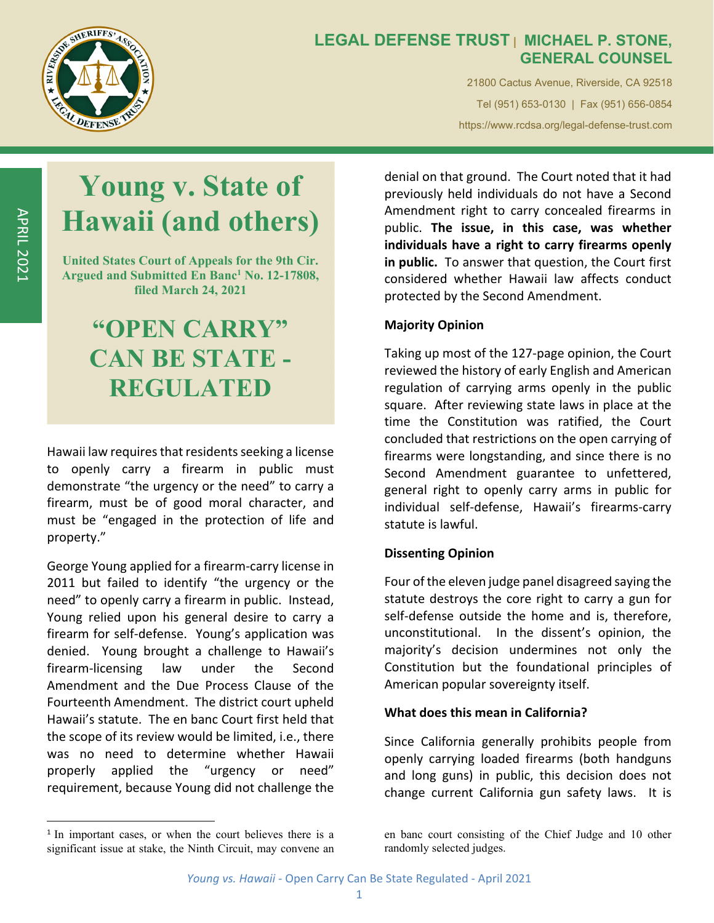

### **LEGAL DEFENSE TRUST | MICHAEL P. STONE, GENERAL COUNSEL**

21800 Cactus Avenue, Riverside, CA 92518 Tel (951) 653-0130 | Fax (951) 656-0854 https://www.rcdsa.org/legal-defense-trust.com

# **Young v. State of Hawaii (and others)**

**United States Court of Appeals for the 9th Cir.**  Argued and Submitted En Banc<sup>1</sup> No. 12-17808, **filed March 24, 2021** 

# **"OPEN CARRY" CAN BE STATE - REGULATED**

Hawaii law requires that residents seeking a license to openly carry a firearm in public must demonstrate "the urgency or the need" to carry a firearm, must be of good moral character, and must be "engaged in the protection of life and property."

George Young applied for a firearm‐carry license in 2011 but failed to identify "the urgency or the need" to openly carry a firearm in public. Instead, Young relied upon his general desire to carry a firearm for self‐defense. Young's application was denied. Young brought a challenge to Hawaii's firearm‐licensing law under the Second Amendment and the Due Process Clause of the Fourteenth Amendment. The district court upheld Hawaii's statute. The en banc Court first held that the scope of its review would be limited, i.e., there was no need to determine whether Hawaii properly applied the "urgency or need" requirement, because Young did not challenge the

denial on that ground. The Court noted that it had previously held individuals do not have a Second Amendment right to carry concealed firearms in public. **The issue, in this case, was whether individuals have a right to carry firearms openly in public.** To answer that question, the Court first considered whether Hawaii law affects conduct protected by the Second Amendment.

#### **Majority Opinion**

Taking up most of the 127‐page opinion, the Court reviewed the history of early English and American regulation of carrying arms openly in the public square. After reviewing state laws in place at the time the Constitution was ratified, the Court concluded that restrictions on the open carrying of firearms were longstanding, and since there is no Second Amendment guarantee to unfettered, general right to openly carry arms in public for individual self‐defense, Hawaii's firearms‐carry statute is lawful.

#### **Dissenting Opinion**

Four of the eleven judge panel disagreed saying the statute destroys the core right to carry a gun for self-defense outside the home and is, therefore, unconstitutional. In the dissent's opinion, the majority's decision undermines not only the Constitution but the foundational principles of American popular sovereignty itself.

#### **What does this mean in California?**

Since California generally prohibits people from openly carrying loaded firearms (both handguns and long guns) in public, this decision does not change current California gun safety laws. It is

<sup>&</sup>lt;sup>1</sup> In important cases, or when the court believes there is a significant issue at stake, the Ninth Circuit, may convene an

en banc court consisting of the Chief Judge and 10 other randomly selected judges.